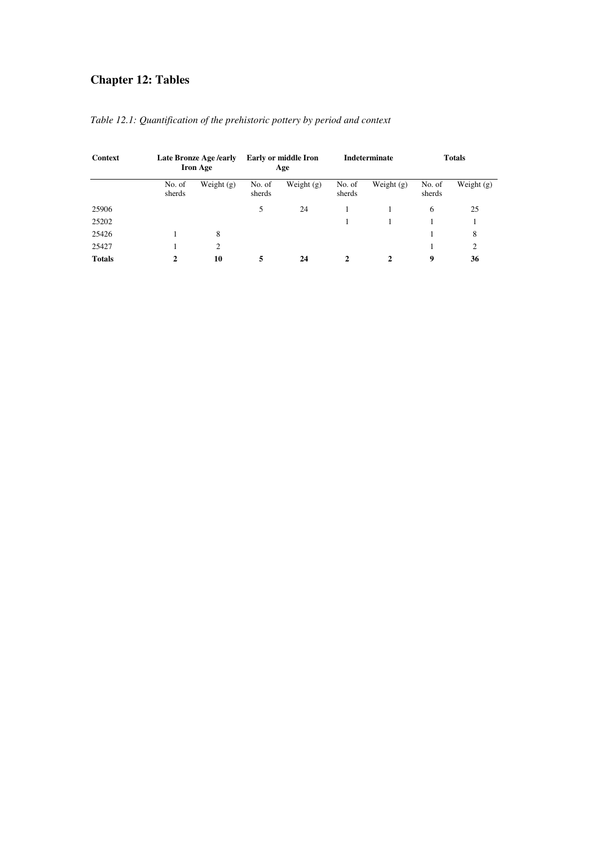# **Chapter 12: Tables**

| <b>Context</b> |                  | <b>Late Bronze Age /early</b><br><b>Iron Age</b> |                  | <b>Early or middle Iron</b><br>Age |                  | Indeterminate | <b>Totals</b>    |              |  |
|----------------|------------------|--------------------------------------------------|------------------|------------------------------------|------------------|---------------|------------------|--------------|--|
|                | No. of<br>sherds | Weight $(g)$                                     | No. of<br>sherds | Weight $(g)$                       | No. of<br>sherds | Weight $(g)$  | No. of<br>sherds | Weight $(g)$ |  |
| 25906          |                  |                                                  | 5                | 24                                 |                  |               | 6                | 25           |  |
| 25202          |                  |                                                  |                  |                                    |                  |               |                  |              |  |
| 25426          |                  | 8                                                |                  |                                    |                  |               |                  | 8            |  |
| 25427          |                  | 2                                                |                  |                                    |                  |               |                  | 2            |  |
| <b>Totals</b>  | 10<br>2          |                                                  | 5                | 24                                 |                  | 2             | 9                | 36           |  |

*Table 12.1: Quantification of the prehistoric pottery by period and context*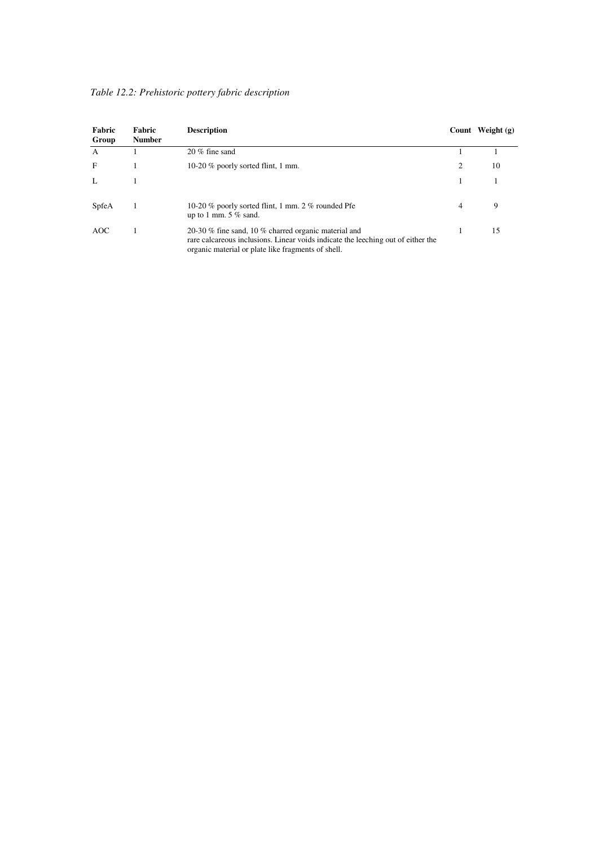| Fabric<br>Group | Fabric<br><b>Number</b> | <b>Description</b>                                                                                                                                                                             |   | Count Weight $(g)$ |
|-----------------|-------------------------|------------------------------------------------------------------------------------------------------------------------------------------------------------------------------------------------|---|--------------------|
| $\mathbf{A}$    |                         | 20 % fine sand                                                                                                                                                                                 |   |                    |
| $\mathbf{F}$    |                         | 10-20 % poorly sorted flint, 1 mm.                                                                                                                                                             | 2 | 10                 |
| L               |                         |                                                                                                                                                                                                |   |                    |
| SpfeA           |                         | 10-20 % poorly sorted flint, 1 mm. 2 % rounded Pfe<br>up to 1 mm. $5\%$ sand.                                                                                                                  | 4 | 9                  |
| AOC             |                         | 20-30 % fine sand, 10 % charred organic material and<br>rare calcareous inclusions. Linear voids indicate the leeching out of either the<br>organic material or plate like fragments of shell. |   | 15                 |

*Table 12.2: Prehistoric pottery fabric description*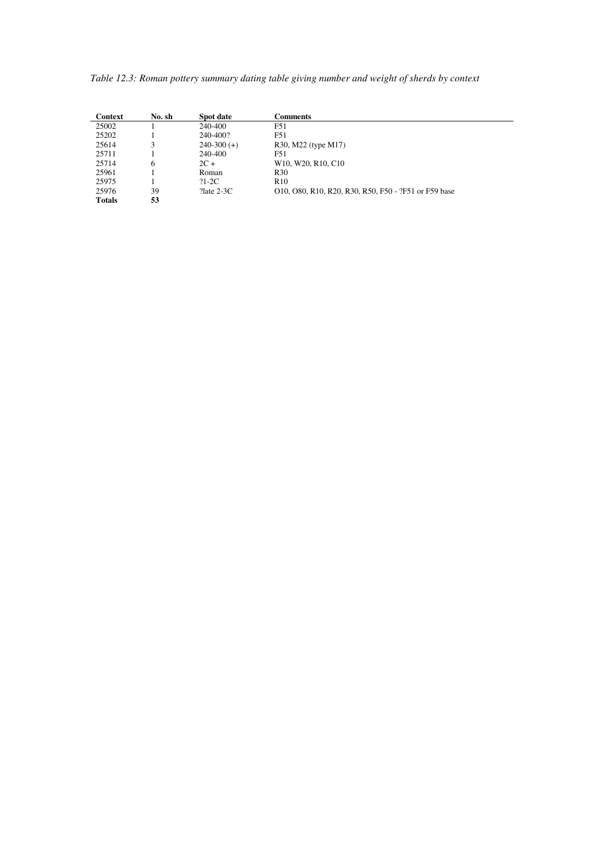*Table 12.3: Roman pottery summary dating table giving number and weight of sherds by context* 

| Context       | No. sh | Spot date       | Comments                                                              |
|---------------|--------|-----------------|-----------------------------------------------------------------------|
| 25002         |        | 240-400         | F51                                                                   |
| 25202         |        | 240-400?        | F51                                                                   |
| 25614         | 3      | $240-300 (+)$   | R30, M22 (type M17)                                                   |
| 25711         |        | 240-400         | F51                                                                   |
| 25714         | 6      | $2C +$          | W <sub>10</sub> , W <sub>20</sub> , R <sub>10</sub> , C <sub>10</sub> |
| 25961         |        | Roman           | R <sub>30</sub>                                                       |
| 25975         |        | $?1 - 2C$       | R <sub>10</sub>                                                       |
| 25976         | 39     | $?$ late $2-3C$ | O10, O80, R10, R20, R30, R50, F50 - ?F51 or F59 base                  |
| <b>Totals</b> | 53     |                 |                                                                       |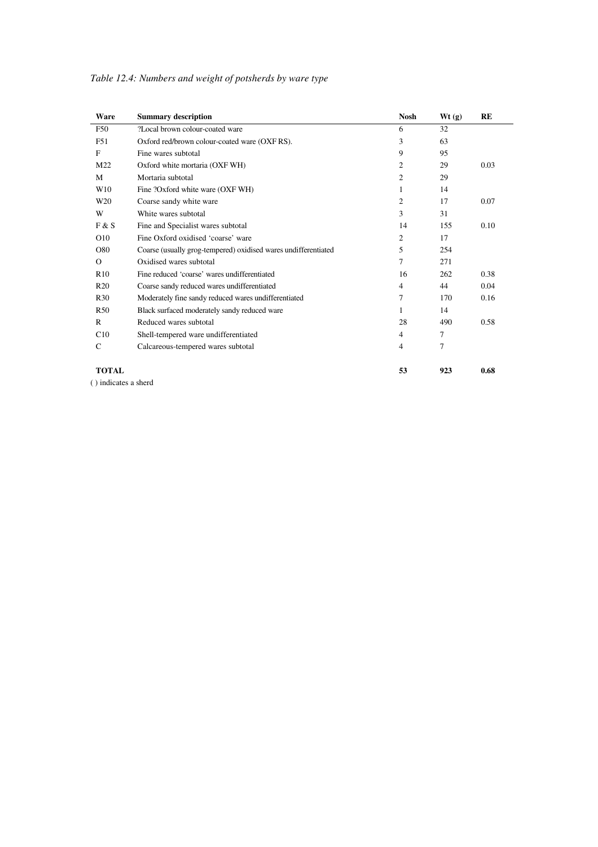| Ware            | <b>Summary description</b>                                     | <b>Nosh</b> | Wt(g) | <b>RE</b> |
|-----------------|----------------------------------------------------------------|-------------|-------|-----------|
| <b>F50</b>      | ?Local brown colour-coated ware                                | 6           | 32    |           |
| F <sub>51</sub> | Oxford red/brown colour-coated ware (OXF RS).                  | 3           | 63    |           |
| F               | Fine wares subtotal                                            | 9           | 95    |           |
| M22             | Oxford white mortaria (OXF WH)                                 | 2           | 29    | 0.03      |
| M               | Mortaria subtotal                                              | 2           | 29    |           |
| W10             | Fine ?Oxford white ware (OXF WH)                               | 1           | 14    |           |
| W20             | Coarse sandy white ware                                        | 2           | 17    | 0.07      |
| W               | White wares subtotal                                           | 3           | 31    |           |
| F & S           | Fine and Specialist wares subtotal                             | 14          | 155   | 0.10      |
| O10             | Fine Oxford oxidised 'coarse' ware                             | 2           | 17    |           |
| O80             | Coarse (usually grog-tempered) oxidised wares undifferentiated | 5           | 254   |           |
| $\Omega$        | Oxidised wares subtotal                                        | 7           | 271   |           |
| R10             | Fine reduced 'coarse' wares undifferentiated                   | 16          | 262   | 0.38      |
| R <sub>20</sub> | Coarse sandy reduced wares undifferentiated                    | 4           | 44    | 0.04      |
| R <sub>30</sub> | Moderately fine sandy reduced wares undifferentiated           | 7           | 170   | 0.16      |
| R <sub>50</sub> | Black surfaced moderately sandy reduced ware                   | 1           | 14    |           |
| R               | Reduced wares subtotal                                         | 28          | 490   | 0.58      |
| C10             | Shell-tempered ware undifferentiated                           | 4           | 7     |           |
| $\mathsf{C}$    | Calcareous-tempered wares subtotal                             | 4           | 7     |           |
| <b>TOTAL</b>    |                                                                | 53          | 923   | 0.68      |

*Table 12.4: Numbers and weight of potsherds by ware type* 

( ) indicates a sherd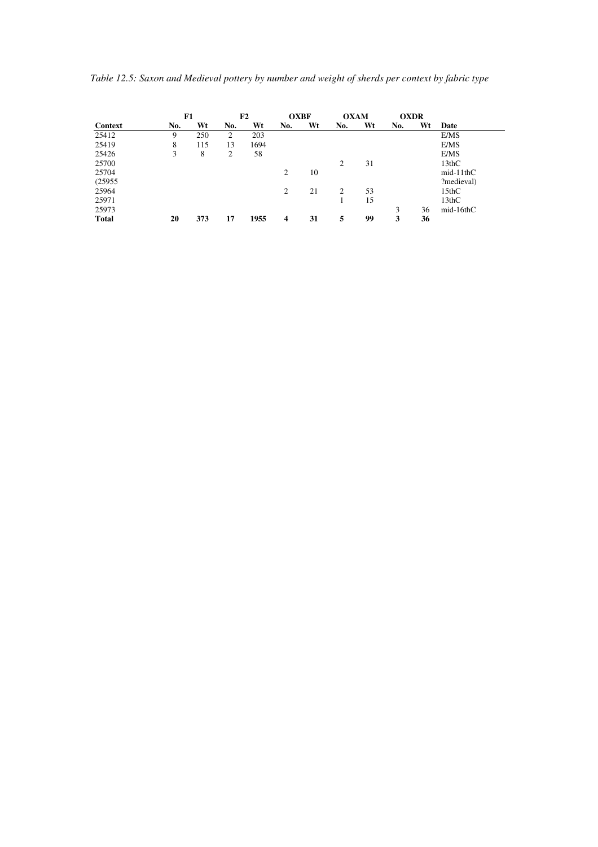*Table 12.5: Saxon and Medieval pottery by number and weight of sherds per context by fabric type* 

|              | F1  |     | F2  |      | <b>OXBF</b> |    | <b>OXAM</b> |    | <b>OXDR</b> |    |             |
|--------------|-----|-----|-----|------|-------------|----|-------------|----|-------------|----|-------------|
| Context      | No. | Wt  | No. | Wt   | No.         | Wt | No.         | Wt | No.         | Wt | Date        |
| 25412        | 9   | 250 | 2   | 203  |             |    |             |    |             |    | E/MS        |
| 25419        | 8   | 115 | 13  | 1694 |             |    |             |    |             |    | E/MS        |
| 25426        | 3   | 8   | 2   | 58   |             |    |             |    |             |    | E/MS        |
| 25700        |     |     |     |      |             |    | 2           | 31 |             |    | 13thC       |
| 25704        |     |     |     |      | 2           | 10 |             |    |             |    | $mid-11thC$ |
| (25955)      |     |     |     |      |             |    |             |    |             |    | ?medieval)  |
| 25964        |     |     |     |      | 2           | 21 | 2           | 53 |             |    | 15thC       |
| 25971        |     |     |     |      |             |    |             | 15 |             |    | 13thC       |
| 25973        |     |     |     |      |             |    |             |    | 3           | 36 | $mid-16thC$ |
| <b>Total</b> | 20  | 373 | 17  | 1955 | 4           | 31 | 5           | 99 | 3           | 36 |             |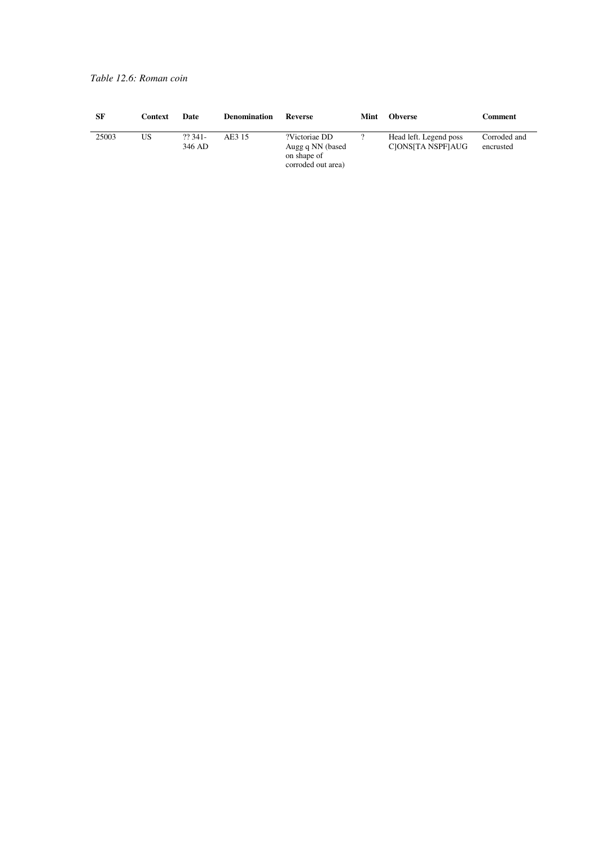#### *Table 12.6: Roman coin*

| -SF   | Context | Date              | <b>Denomination</b> | Reverse                                                                | Mint | <b>Obverse</b>                              | Comment                   |
|-------|---------|-------------------|---------------------|------------------------------------------------------------------------|------|---------------------------------------------|---------------------------|
| 25003 | US      | 22.341-<br>346 AD | AE3 15              | ?Victoriae DD<br>Augg q NN (based<br>on shape of<br>corroded out area) |      | Head left. Legend poss<br>CIONSITA NSPFIAUG | Corroded and<br>encrusted |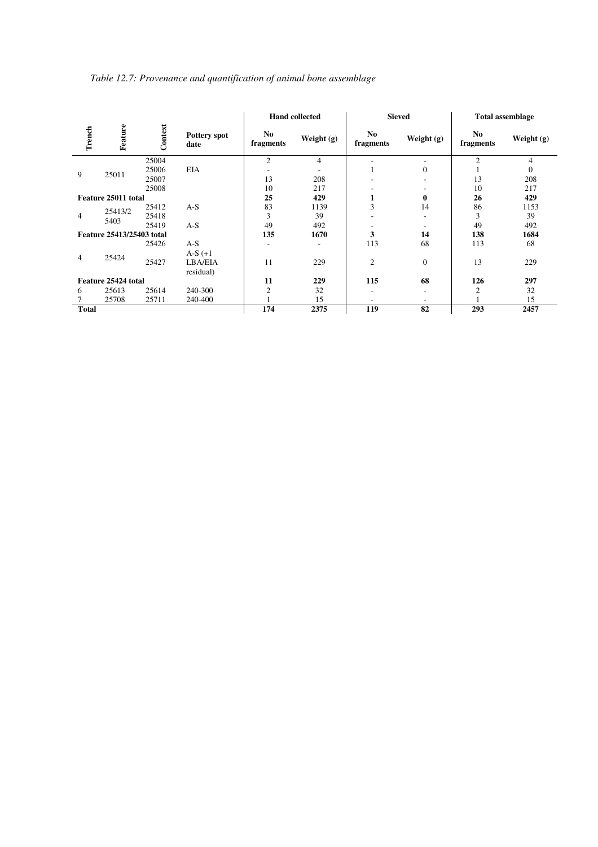| Table 12.7: Provenance and quantification of animal bone assemblage |  |  |
|---------------------------------------------------------------------|--|--|
|                                                                     |  |  |

|              |                           |         |                             | <b>Hand collected</b> |                          |                  | <b>Sieved</b> | <b>Total assemblage</b> |            |  |
|--------------|---------------------------|---------|-----------------------------|-----------------------|--------------------------|------------------|---------------|-------------------------|------------|--|
| Trench       | Feature                   | Context | <b>Pottery spot</b><br>date | No.<br>fragments      | Weight (g)               | No.<br>fragments | Weight (g)    | No<br>fragments         | Weight (g) |  |
|              |                           | 25004   |                             | $\overline{2}$        | 4                        |                  | ۰             | $\overline{c}$          | 4          |  |
| 9            | 25011                     | 25006   | EIA                         |                       | $\overline{\phantom{a}}$ |                  | $\Omega$      |                         | $\Omega$   |  |
|              |                           | 25007   |                             | 13                    | 208                      |                  |               | 13                      | 208        |  |
|              |                           | 25008   |                             | 10                    | 217                      |                  |               | 10                      | 217        |  |
|              | Feature 25011 total       |         |                             | 25                    | 429                      | л                | $\bf{0}$      | 26                      | 429        |  |
|              | 25413/2                   | 25412   | $A-S$                       | 83                    | 1139                     | 3                | 14            | 86                      | 1153       |  |
| 4            |                           | 25418   |                             | 3                     | 39                       | -                |               | 3                       | 39         |  |
|              | 5403                      | 25419   | $A-S$                       | 49                    | 492                      |                  |               | 49                      | 492        |  |
|              | Feature 25413/25403 total |         |                             | 135                   | 1670                     | 3                | 14            | 138                     | 1684       |  |
|              |                           | 25426   | $A-S$                       | ٠                     | ٠                        | 113              | 68            | 113                     | 68         |  |
|              |                           |         | $A-S(+1)$                   |                       |                          |                  |               |                         |            |  |
| 4            | 25424                     | 25427   | LBA/EIA                     | 11                    | 229                      | $\overline{2}$   | $\Omega$      | 13                      | 229        |  |
|              |                           |         | residual)                   |                       |                          |                  |               |                         |            |  |
|              | Feature 25424 total       |         |                             | 11                    | 229                      | 115              | 68            | 126                     | 297        |  |
| 6            | 25613                     | 25614   | 240-300                     | $\overline{2}$        | 32                       | ٠                | ۰             | 2                       | 32         |  |
|              | 25708                     | 25711   | 240-400                     |                       | 15                       |                  |               |                         | 15         |  |
| <b>Total</b> |                           |         |                             | 174                   | 2375                     | 119              | 82            | 293                     | 2457       |  |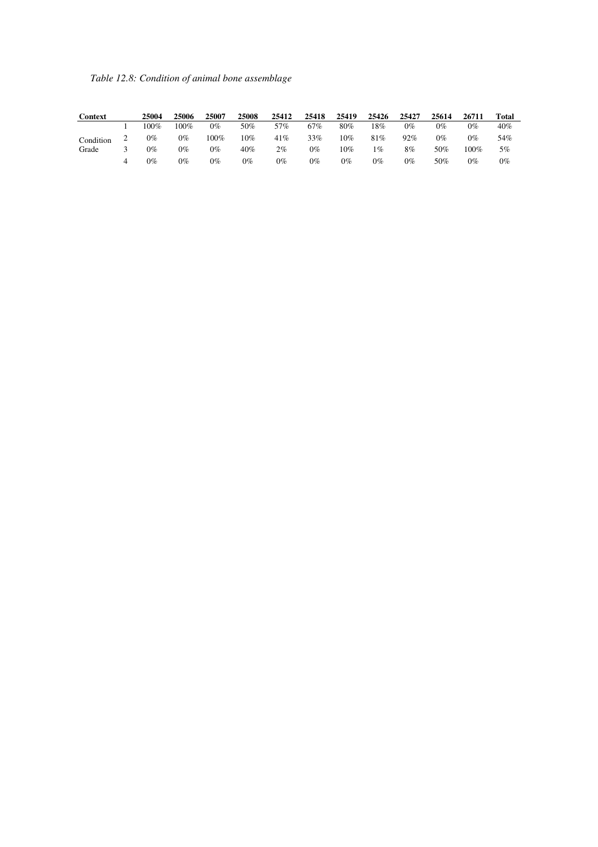|  |  | Table 12.8: Condition of animal bone assemblage |
|--|--|-------------------------------------------------|
|  |  |                                                 |

| Context   |   | 25004 | 25006 | 25007 | 25008 | 25412 | 25418 | 25419 | 25426 | 25427 | 25614 | 26711 | Total |
|-----------|---|-------|-------|-------|-------|-------|-------|-------|-------|-------|-------|-------|-------|
|           |   | 100%  | 100%  | $0\%$ | 50%   | 57%   | 67%   | 80%   | 18%   | $0\%$ | $0\%$ | $0\%$ | 40%   |
| Condition |   | $0\%$ | 0%    | 100%  | 10%   | 41%   | 33%   | 10%   | 81%   | 92%   | $0\%$ | $0\%$ | 54%   |
| Grade     |   | $0\%$ | 0%    | $0\%$ | 40%   | 2%    | $0\%$ | 10%   | $1\%$ | 8%    | 50%   | 100%  | 5%    |
|           | 4 | $0\%$ | 0%    | $0\%$ | $0\%$ | $0\%$ | $0\%$ | $0\%$ | $0\%$ | $0\%$ | 50%   | $0\%$ | $0\%$ |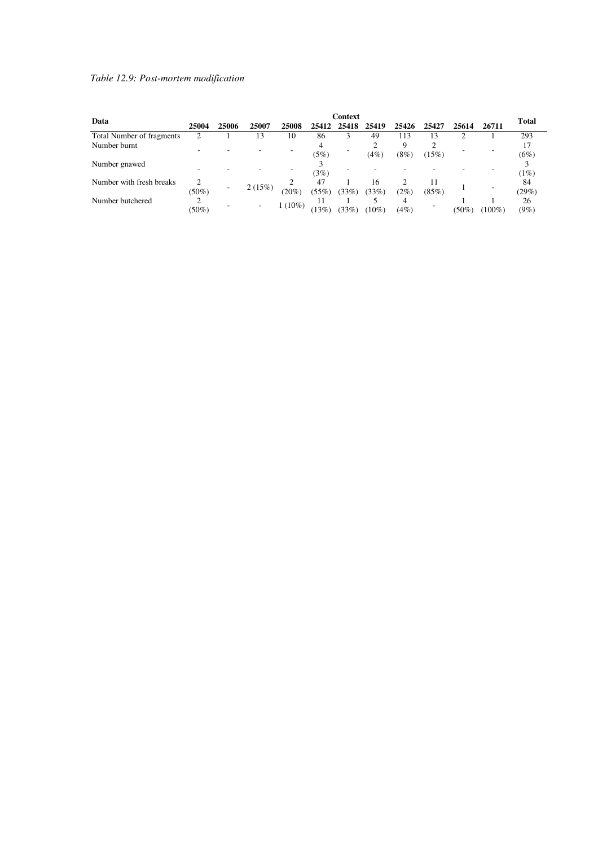### *Table 12.9: Post-mortem modification*

| Data                      | <b>Context</b> |       |        |          |             |       |             |           |       |          | <b>Total</b> |               |
|---------------------------|----------------|-------|--------|----------|-------------|-------|-------------|-----------|-------|----------|--------------|---------------|
|                           | 25004          | 25006 | 25007  | 25008    | 25412       | 25418 | 25419       | 25426     | 25427 | 25614    | 26711        |               |
| Total Number of fragments |                |       | 13     | 10       | 86          |       | 49          | 113       | 13    | ◠        |              | 293           |
| Number burnt              |                |       |        |          | (5%)        |       | (4%)        | Q<br>(8%) | (15%) |          |              | (6%)          |
| Number gnawed             |                |       |        |          | (3%)        |       |             |           |       |          |              | (1%)          |
| Number with fresh breaks  | ◠<br>$(50\%)$  |       | 2(15%) | (20%     | 47<br>(55%) | (33%) | 16<br>(33%) | (2%)      | (85%) |          |              | 84<br>(29%)   |
| Number butchered          | $(50\%)$       |       | ۰      | $(10\%)$ | 13%         | (33%) | $10\%$      | 4<br>(4%) |       | $(50\%)$ | $(100\%)$    | 26<br>$(9\%)$ |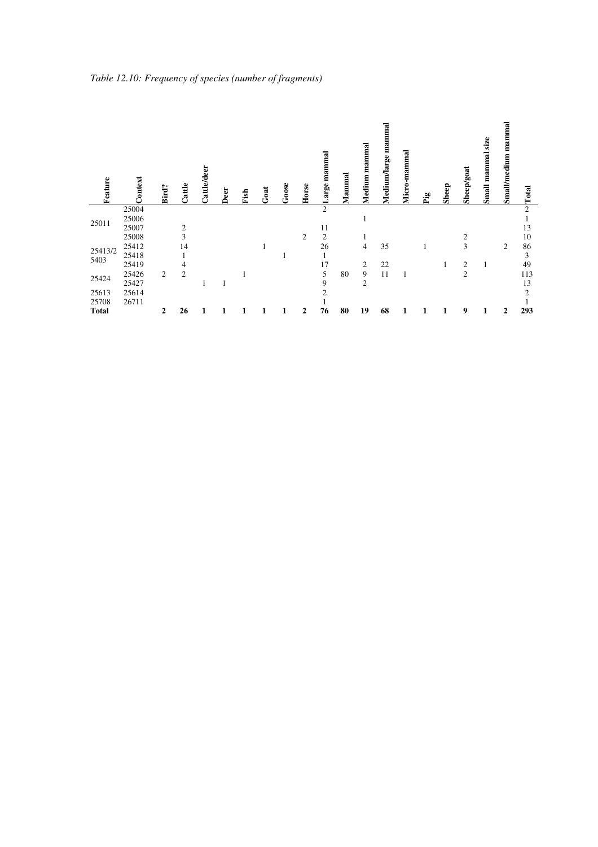| Feature      | Context | Bird?          | Cattle         | <b>Cattle/deer</b> | Deer | Fish | Goat | Goose | Horse          | mammal<br>arge | Mammal | mammal<br>Medium | mammal<br>Medium/large | Micro-mammal | Pig | Sheep | Sheep/goat     | $\frac{1}{2}$<br>Small mammal | mamma<br><b>Small/medium</b> | Total          |
|--------------|---------|----------------|----------------|--------------------|------|------|------|-------|----------------|----------------|--------|------------------|------------------------|--------------|-----|-------|----------------|-------------------------------|------------------------------|----------------|
|              | 25004   |                |                |                    |      |      |      |       |                | $\overline{2}$ |        |                  |                        |              |     |       |                |                               |                              | $\overline{2}$ |
| 25011        | 25006   |                |                |                    |      |      |      |       |                |                |        | 1                |                        |              |     |       |                |                               |                              |                |
|              | 25007   |                | $\overline{2}$ |                    |      |      |      |       |                | 11             |        |                  |                        |              |     |       |                |                               |                              | 13             |
|              | 25008   |                | 3              |                    |      |      |      |       | $\overline{c}$ | $\overline{2}$ |        |                  |                        |              |     |       | $\overline{c}$ |                               |                              | 10             |
| 25413/2      | 25412   |                | 14             |                    |      |      |      |       |                | 26             |        | 4                | 35                     |              |     |       | 3              |                               | 2                            | 86             |
| 5403         | 25418   |                |                |                    |      |      |      |       |                |                |        |                  |                        |              |     |       |                |                               |                              | 3              |
|              | 25419   |                | 4              |                    |      |      |      |       |                | 17             |        | 2                | 22                     |              |     |       | 2              |                               |                              | 49             |
| 25424        | 25426   | $\overline{c}$ | $\overline{c}$ |                    |      |      |      |       |                | 5              | 80     | 9                | 11                     |              |     |       | $\overline{c}$ |                               |                              | 113            |
|              | 25427   |                |                |                    |      |      |      |       |                | 9              |        | $\overline{c}$   |                        |              |     |       |                |                               |                              | 13             |
| 25613        | 25614   |                |                |                    |      |      |      |       |                | 2              |        |                  |                        |              |     |       |                |                               |                              | 2              |
| 25708        | 26711   |                |                |                    |      |      |      |       |                |                |        |                  |                        |              |     |       |                |                               |                              |                |
| <b>Total</b> |         | 2              | 26             |                    |      |      |      |       | 2              | 76             | 80     | 19               | 68                     |              |     |       | 9              | 1                             | 2                            | 293            |

*Table 12.10: Frequency of species (number of fragments)*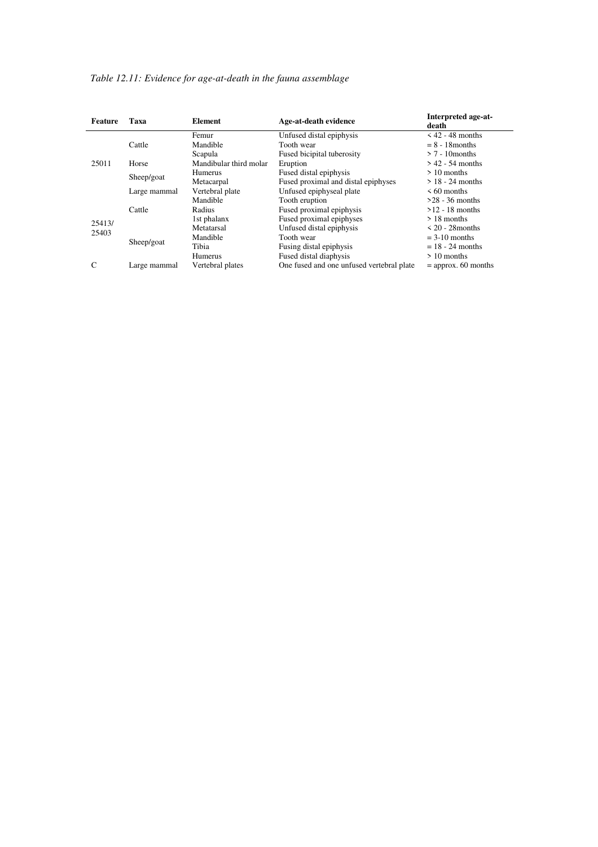## *Table 12.11: Evidence for age-at-death in the fauna assemblage*

| Feature | Taxa         | Element                | Age-at-death evidence                     | Interpreted age-at-<br>death |
|---------|--------------|------------------------|-------------------------------------------|------------------------------|
|         |              | Femur                  | Unfused distal epiphysis                  | $\leq 42 - 48$ months        |
|         | Cattle       | Mandible               | Tooth wear                                | $= 8 - 18$ months            |
|         |              | Scapula                | Fused bicipital tuberosity                | $> 7 - 10$ months            |
| 25011   | Horse        | Mandibular third molar | Eruption                                  | $> 42 - 54$ months           |
|         | Sheep/goat   | Humerus                | Fused distal epiphysis                    | $> 10$ months                |
|         |              | Metacarpal             | Fused proximal and distal epiphyses       | $> 18 - 24$ months           |
|         | Large mammal | Vertebral plate        | Unfused epiphyseal plate                  | $\leq 60$ months             |
|         |              | Mandible               | Tooth eruption                            | $>28 - 36$ months            |
|         | Cattle       | Radius                 | Fused proximal epiphysis                  | $>12 - 18$ months            |
| 25413/  |              | 1st phalanx            | Fused proximal epiphyses                  | $>18$ months                 |
| 25403   |              | Metatarsal             | Unfused distal epiphysis                  | $\leq$ 20 - 28 months        |
|         | Sheep/goat   | Mandible               | Tooth wear                                | $=$ 3-10 months              |
|         |              | Tibia                  | Fusing distal epiphysis                   | $= 18 - 24$ months           |
|         |              | Humerus                | Fused distal diaphysis                    | $>10$ months                 |
| C       | Large mammal | Vertebral plates       | One fused and one unfused vertebral plate | $=$ approx. 60 months        |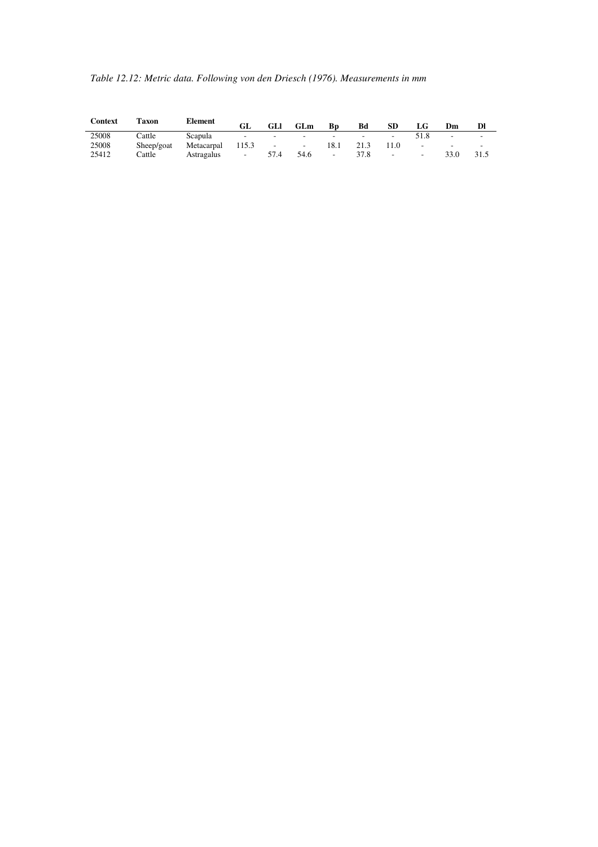| Table 12.12: Metric data. Following von den Driesch (1976). Measurements in mm |  |  |
|--------------------------------------------------------------------------------|--|--|
|                                                                                |  |  |

| <b>Context</b> | Taxon      | <b>Element</b> | GL     | GLI    | GLm                            | Bp                              | Bd                       | SD                       | LG     | Dm                       | Dl     |
|----------------|------------|----------------|--------|--------|--------------------------------|---------------------------------|--------------------------|--------------------------|--------|--------------------------|--------|
| 25008          | Cattle     | Scapula        | $\sim$ | ۰.     | $\sim$ $\sim$                  | the contract of the contract of | $\overline{\phantom{a}}$ |                          | 51.8   | $\overline{\phantom{a}}$ | $\sim$ |
| 25008          | Sheep/goat | Metacarpal     | 115.3  | $\sim$ | <b>Contract Contract State</b> | 18.1                            | 21.3                     | 11.0                     | $\sim$ | $\overline{\phantom{a}}$ | $\sim$ |
| 25412          | Cattle     | Astragalus     | $\sim$ | 57.4   | 54.6                           | $\sim$                          | 37.8                     | $\overline{\phantom{a}}$ | $\sim$ |                          | 31.5   |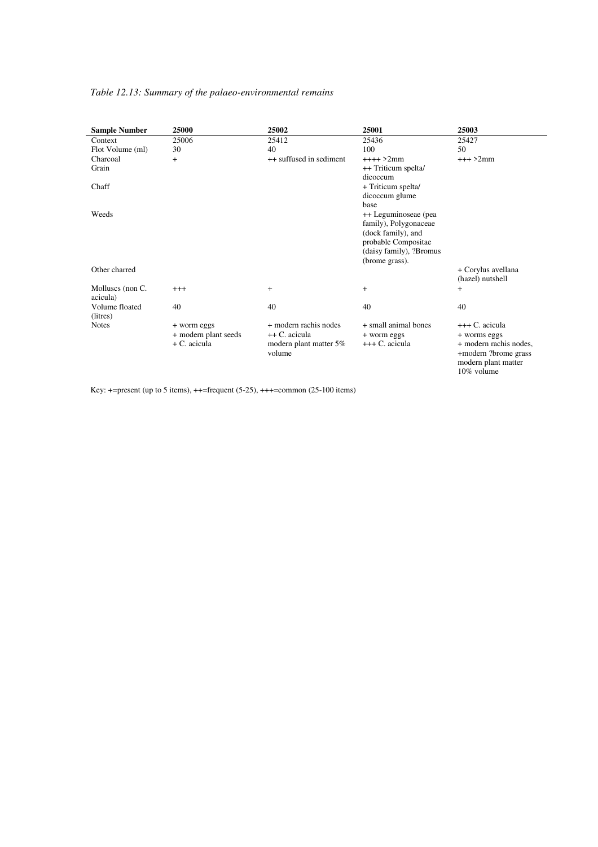#### *Table 12.13: Summary of the palaeo-environmental remains*

| <b>Sample Number</b> | 25000                | 25002                   | 25001                   | 25003                  |
|----------------------|----------------------|-------------------------|-------------------------|------------------------|
| Context              | 25006                | 25412                   | 25436                   | 25427                  |
| Flot Volume (ml)     | 30                   | 40                      | 100                     | 50                     |
| Charcoal             | $^{+}$               | ++ suffused in sediment | $+++ > 2mm$             | $+++2mm$               |
| Grain                |                      |                         | ++ Triticum spelta/     |                        |
|                      |                      |                         | dicoccum                |                        |
| Chaff                |                      |                         | + Triticum spelta/      |                        |
|                      |                      |                         | dicoccum glume          |                        |
|                      |                      |                         | base                    |                        |
| Weeds                |                      |                         | ++ Leguminoseae (pea    |                        |
|                      |                      |                         | family), Polygonaceae   |                        |
|                      |                      |                         | (dock family), and      |                        |
|                      |                      |                         | probable Compositae     |                        |
|                      |                      |                         | (daisy family), ?Bromus |                        |
|                      |                      |                         | (brome grass).          |                        |
| Other charred        |                      |                         |                         | + Corylus avellana     |
|                      |                      |                         |                         | (hazel) nutshell       |
| Molluscs (non C.     | $+++$                | $\ddot{}$               | $^{+}$                  | $^{+}$                 |
| acicula)             |                      |                         |                         |                        |
| Volume floated       | 40                   | 40                      | 40                      | 40                     |
| (litres)             |                      |                         |                         |                        |
| <b>Notes</b>         | + worm eggs          | + modern rachis nodes   | + small animal bones    | +++ C. acicula         |
|                      | + modern plant seeds | ++ C. acicula           | + worm eggs             | + worms eggs           |
|                      | $+ C.$ acicula       | modern plant matter 5%  | +++ C. acicula          | + modern rachis nodes, |
|                      |                      | volume                  |                         | +modern ?brome grass   |
|                      |                      |                         |                         | modern plant matter    |
|                      |                      |                         |                         | 10% volume             |

Key: +=present (up to 5 items), ++=frequent (5-25), +++=common (25-100 items)